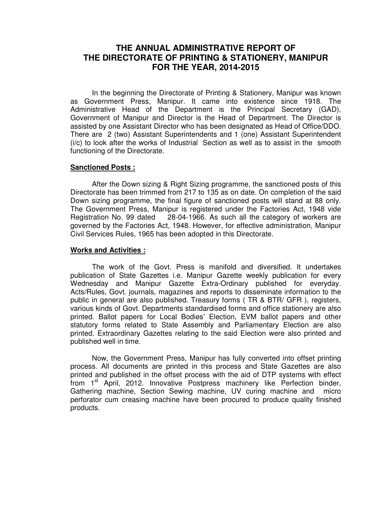# **THE ANNUAL ADMINISTRATIVE REPORT OF THE DIRECTORATE OF PRINTING & STATIONERY, MANIPUR FOR THE YEAR, 2014-2015**

 In the beginning the Directorate of Printing & Stationery, Manipur was known as Government Press, Manipur. It came into existence since 1918. The Administrative Head of the Department is the Principal Secretary (GAD), Government of Manipur and Director is the Head of Department. The Director is assisted by one Assistant Director who has been designated as Head of Office/DDO. There are 2 (two) Assistant Superintendents and 1 (one) Assistant Superintendent (i/c) to look after the works of Industrial Section as well as to assist in the smooth functioning of the Directorate.

## **Sanctioned Posts :**

 After the Down sizing & Right Sizing programme, the sanctioned posts of this Directorate has been trimmed from 217 to 135 as on date. On completion of the said Down sizing programme, the final figure of sanctioned posts will stand at 88 only. The Government Press, Manipur is registered under the Factories Act, 1948 vide Registration No. 99 dated 28-04-1966. As such all the category of workers are governed by the Factories Act, 1948. However, for effective administration, Manipur Civil Services Rules, 1965 has been adopted in this Directorate.

### **Works and Activities :**

 The work of the Govt. Press is manifold and diversified. It undertakes publication of State Gazettes i.e. Manipur Gazette weekly publication for every Wednesday and Manipur Gazette Extra-Ordinary published for everyday. Acts/Rules, Govt. journals, magazines and reports to disseminate information to the public in general are also published. Treasury forms ( TR & BTR/ GFR ), registers, various kinds of Govt. Departments standardised forms and office stationery are also printed. Ballot papers for Local Bodies' Election, EVM ballot papers and other statutory forms related to State Assembly and Parliamentary Election are also printed. Extraordinary Gazettes relating to the said Election were also printed and published well in time.

 Now, the Government Press, Manipur has fully converted into offset printing process. All documents are printed in this process and State Gazettes are also printed and published in the offset process with the aid of DTP systems with effect from 1<sup>st</sup> April, 2012. Innovative Postpress machinery like Perfection binder, Gathering machine, Section Sewing machine, UV curing machine and micro perforator cum creasing machine have been procured to produce quality finished products.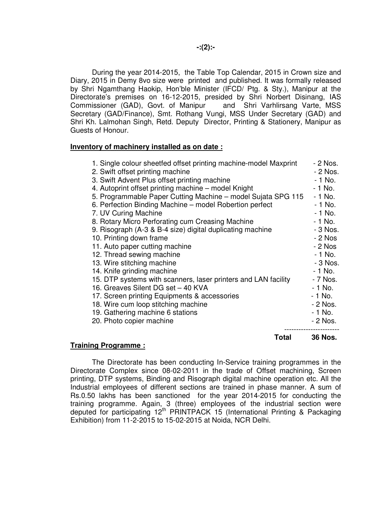During the year 2014-2015, the Table Top Calendar, 2015 in Crown size and Diary, 2015 in Demy 8vo size were printed and published. It was formally released by Shri Ngamthang Haokip, Hon'ble Minister (IFCD/ Ptg. & Sty.), Manipur at the Directorate's premises on 16-12-2015, presided by Shri Norbert Disinang, IAS Commissioner (GAD), Govt. of Manipur and Shri Varhlirsang Varte, MSS Secretary (GAD/Finance), Smt. Rothang Vungi, MSS Under Secretary (GAD) and Shri Kh. Lalmohan Singh, Retd. Deputy Director, Printing & Stationery, Manipur as Guests of Honour.

### **Inventory of machinery installed as on date :**

| Tuaimimm Duanuamm                                                | Total      | <b>36 Nos.</b> |
|------------------------------------------------------------------|------------|----------------|
| 20. Photo copier machine                                         | ---------- | - 2 Nos.       |
| 19. Gathering machine 6 stations                                 |            | $-1$ No.       |
| 18. Wire cum loop stitching machine                              |            | - 2 Nos.       |
| 17. Screen printing Equipments & accessories                     |            | - 1 No.        |
| 16. Greaves Silent DG set - 40 KVA                               |            | $-1$ No.       |
| 15. DTP systems with scanners, laser printers and LAN facility   |            | - 7 Nos.       |
| 14. Knife grinding machine                                       |            | $-1$ No.       |
| 13. Wire stitching machine                                       |            | $-3$ Nos.      |
| 12. Thread sewing machine                                        |            | $-1$ No.       |
| 11. Auto paper cutting machine                                   |            | $-2$ Nos       |
| 10. Printing down frame                                          |            | $-2$ Nos       |
| 9. Risograph (A-3 & B-4 size) digital duplicating machine        |            | - 3 Nos.       |
| 8. Rotary Micro Perforating cum Creasing Machine                 |            | $-1$ No.       |
| 7. UV Curing Machine                                             |            | $-1$ No.       |
| 6. Perfection Binding Machine - model Robertion perfect          |            | $-1$ No.       |
| 5. Programmable Paper Cutting Machine - model Sujata SPG 115     |            | $-1$ No.       |
| 4. Autoprint offset printing machine - model Knight              |            | $-1$ No.       |
| 3. Swift Advent Plus offset printing machine                     |            | $-1$ No.       |
| 2. Swift offset printing machine                                 |            | - 2 Nos.       |
| 1. Single colour sheetfed offset printing machine-model Maxprint |            | - 2 Nos.       |

#### **Training Programme :**

 The Directorate has been conducting In-Service training programmes in the Directorate Complex since 08-02-2011 in the trade of Offset machining, Screen printing, DTP systems, Binding and Risograph digital machine operation etc. All the Industrial employees of different sections are trained in phase manner. A sum of Rs.0.50 lakhs has been sanctioned for the year 2014-2015 for conducting the training programme. Again, 3 (three) employees of the industrial section were deputed for participating 12<sup>th</sup> PRINTPACK 15 (International Printing & Packaging Exhibition) from 11-2-2015 to 15-02-2015 at Noida, NCR Delhi.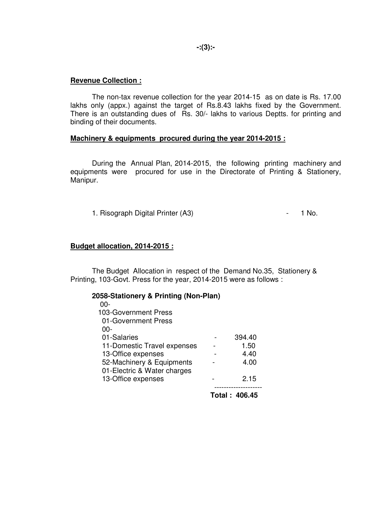**Revenue Collection :**

 The non-tax revenue collection for the year 2014-15 as on date is Rs. 17.00 lakhs only (appx.) against the target of Rs.8.43 lakhs fixed by the Government. There is an outstanding dues of Rs. 30/- lakhs to various Deptts. for printing and binding of their documents.

# **Machinery & equipments procured during the year 2014-2015 :**

 During the Annual Plan, 2014-2015, the following printing machinery and equipments were procured for use in the Directorate of Printing & Stationery, Manipur.

1. Risograph Digital Printer (A3) 1. Risograph Digital Printer (A3)

# **Budget allocation, 2014-2015 :**

 The Budget Allocation in respect of the Demand No.35, Stationery & Printing, 103-Govt. Press for the year, 2014-2015 were as follows :

| 2058-Stationery & Printing (Non-Plan) |                      |
|---------------------------------------|----------------------|
| -00                                   |                      |
| 103-Government Press                  |                      |
| 01-Government Press                   |                      |
| -00                                   |                      |
| 01-Salaries                           | 394.40               |
| 11-Domestic Travel expenses           | 1.50                 |
| 13-Office expenses                    | 4.40                 |
| 52-Machinery & Equipments             | 4.00                 |
| 01-Electric & Water charges           |                      |
| 13-Office expenses                    | 2.15                 |
|                                       |                      |
|                                       | <b>Total: 406.45</b> |

**-:(3):-**